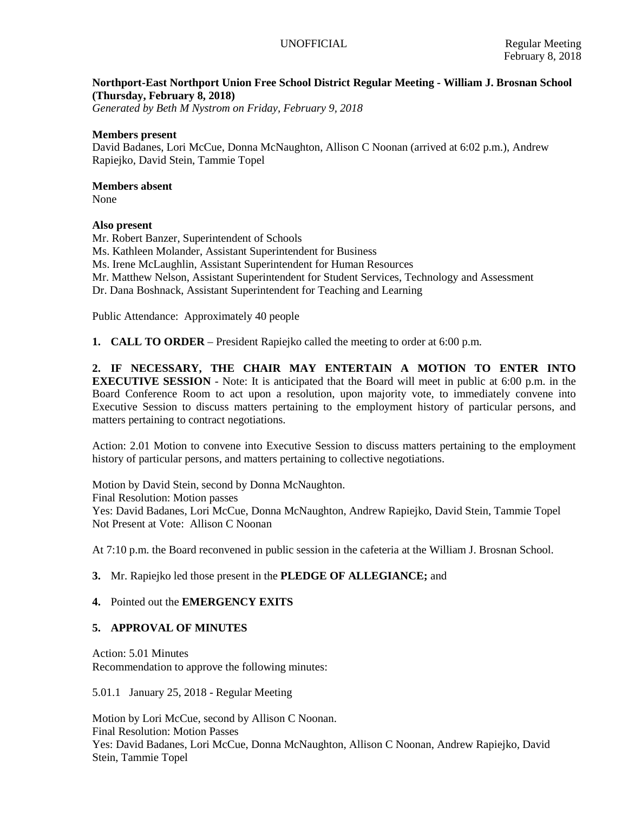# **Northport-East Northport Union Free School District Regular Meeting - William J. Brosnan School (Thursday, February 8, 2018)**

*Generated by Beth M Nystrom on Friday, February 9, 2018*

# **Members present**

David Badanes, Lori McCue, Donna McNaughton, Allison C Noonan (arrived at 6:02 p.m.), Andrew Rapiejko, David Stein, Tammie Topel

# **Members absent**

None

# **Also present**

Mr. Robert Banzer, Superintendent of Schools Ms. Kathleen Molander, Assistant Superintendent for Business Ms. Irene McLaughlin, Assistant Superintendent for Human Resources Mr. Matthew Nelson, Assistant Superintendent for Student Services, Technology and Assessment Dr. Dana Boshnack, Assistant Superintendent for Teaching and Learning

Public Attendance: Approximately 40 people

**1. CALL TO ORDER** – President Rapiejko called the meeting to order at 6:00 p.m.

**2. IF NECESSARY, THE CHAIR MAY ENTERTAIN A MOTION TO ENTER INTO EXECUTIVE SESSION** - Note: It is anticipated that the Board will meet in public at 6:00 p.m. in the Board Conference Room to act upon a resolution, upon majority vote, to immediately convene into Executive Session to discuss matters pertaining to the employment history of particular persons, and matters pertaining to contract negotiations.

Action: 2.01 Motion to convene into Executive Session to discuss matters pertaining to the employment history of particular persons, and matters pertaining to collective negotiations.

Motion by David Stein, second by Donna McNaughton. Final Resolution: Motion passes Yes: David Badanes, Lori McCue, Donna McNaughton, Andrew Rapiejko, David Stein, Tammie Topel Not Present at Vote: Allison C Noonan

At 7:10 p.m. the Board reconvened in public session in the cafeteria at the William J. Brosnan School.

# **3.** Mr. Rapiejko led those present in the **PLEDGE OF ALLEGIANCE;** and

# **4.** Pointed out the **EMERGENCY EXITS**

# **5. APPROVAL OF MINUTES**

Action: 5.01 Minutes Recommendation to approve the following minutes:

5.01.1 January 25, 2018 - Regular Meeting

Motion by Lori McCue, second by Allison C Noonan. Final Resolution: Motion Passes Yes: David Badanes, Lori McCue, Donna McNaughton, Allison C Noonan, Andrew Rapiejko, David Stein, Tammie Topel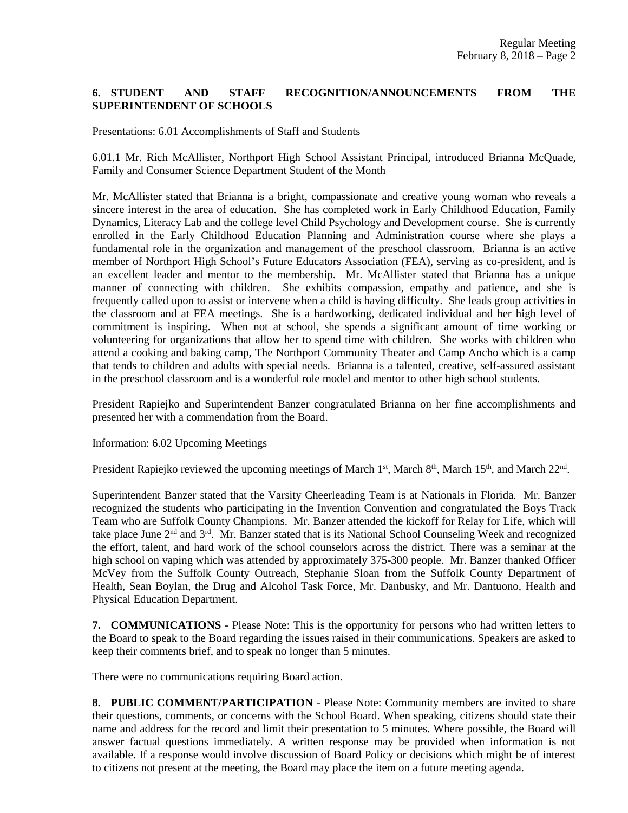# **6. STUDENT AND STAFF RECOGNITION/ANNOUNCEMENTS FROM THE SUPERINTENDENT OF SCHOOLS**

Presentations: 6.01 Accomplishments of Staff and Students

6.01.1 Mr. Rich McAllister, Northport High School Assistant Principal, introduced Brianna McQuade, Family and Consumer Science Department Student of the Month

Mr. McAllister stated that Brianna is a bright, compassionate and creative young woman who reveals a sincere interest in the area of education. She has completed work in Early Childhood Education, Family Dynamics, Literacy Lab and the college level Child Psychology and Development course. She is currently enrolled in the Early Childhood Education Planning and Administration course where she plays a fundamental role in the organization and management of the preschool classroom. Brianna is an active member of Northport High School's Future Educators Association (FEA), serving as co-president, and is an excellent leader and mentor to the membership. Mr. McAllister stated that Brianna has a unique manner of connecting with children. She exhibits compassion, empathy and patience, and she is frequently called upon to assist or intervene when a child is having difficulty. She leads group activities in the classroom and at FEA meetings. She is a hardworking, dedicated individual and her high level of commitment is inspiring. When not at school, she spends a significant amount of time working or volunteering for organizations that allow her to spend time with children. She works with children who attend a cooking and baking camp, The Northport Community Theater and Camp Ancho which is a camp that tends to children and adults with special needs. Brianna is a talented, creative, self-assured assistant in the preschool classroom and is a wonderful role model and mentor to other high school students.

President Rapiejko and Superintendent Banzer congratulated Brianna on her fine accomplishments and presented her with a commendation from the Board.

Information: 6.02 Upcoming Meetings

President Rapiejko reviewed the upcoming meetings of March 1<sup>st</sup>, March 8<sup>th</sup>, March 15<sup>th</sup>, and March 22<sup>nd</sup>.

Superintendent Banzer stated that the Varsity Cheerleading Team is at Nationals in Florida. Mr. Banzer recognized the students who participating in the Invention Convention and congratulated the Boys Track Team who are Suffolk County Champions. Mr. Banzer attended the kickoff for Relay for Life, which will take place June 2nd and 3rd. Mr. Banzer stated that is its National School Counseling Week and recognized the effort, talent, and hard work of the school counselors across the district. There was a seminar at the high school on vaping which was attended by approximately 375-300 people. Mr. Banzer thanked Officer McVey from the Suffolk County Outreach, Stephanie Sloan from the Suffolk County Department of Health, Sean Boylan, the Drug and Alcohol Task Force, Mr. Danbusky, and Mr. Dantuono, Health and Physical Education Department.

**7. COMMUNICATIONS** - Please Note: This is the opportunity for persons who had written letters to the Board to speak to the Board regarding the issues raised in their communications. Speakers are asked to keep their comments brief, and to speak no longer than 5 minutes.

There were no communications requiring Board action.

**8. PUBLIC COMMENT/PARTICIPATION** - Please Note: Community members are invited to share their questions, comments, or concerns with the School Board. When speaking, citizens should state their name and address for the record and limit their presentation to 5 minutes. Where possible, the Board will answer factual questions immediately. A written response may be provided when information is not available. If a response would involve discussion of Board Policy or decisions which might be of interest to citizens not present at the meeting, the Board may place the item on a future meeting agenda.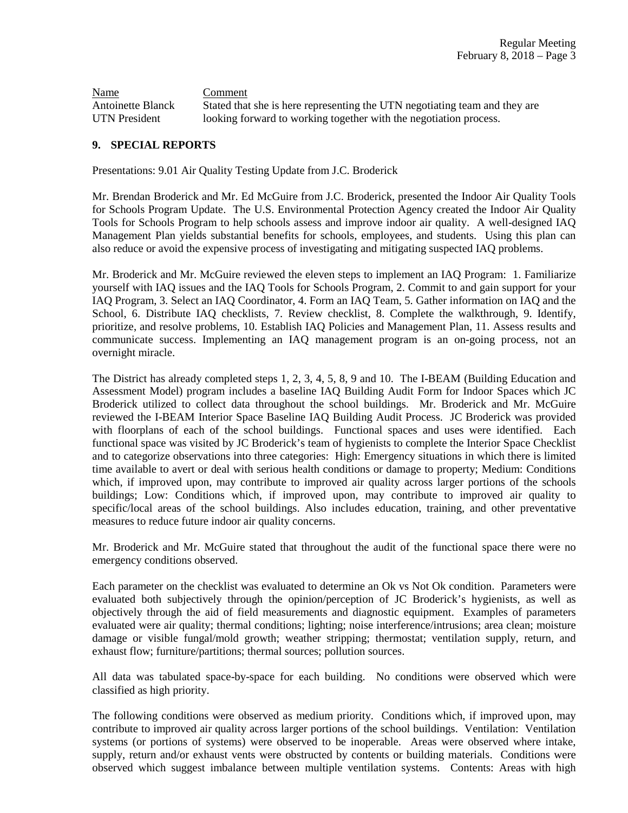Name Comment Antoinette Blanck Stated that she is here representing the UTN negotiating team and they are UTN President looking forward to working together with the negotiation process.

# **9. SPECIAL REPORTS**

Presentations: 9.01 Air Quality Testing Update from J.C. Broderick

Mr. Brendan Broderick and Mr. Ed McGuire from J.C. Broderick, presented the Indoor Air Quality Tools for Schools Program Update. The U.S. Environmental Protection Agency created the Indoor Air Quality Tools for Schools Program to help schools assess and improve indoor air quality. A well-designed IAQ Management Plan yields substantial benefits for schools, employees, and students. Using this plan can also reduce or avoid the expensive process of investigating and mitigating suspected IAQ problems.

Mr. Broderick and Mr. McGuire reviewed the eleven steps to implement an IAQ Program: 1. Familiarize yourself with IAQ issues and the IAQ Tools for Schools Program, 2. Commit to and gain support for your IAQ Program, 3. Select an IAQ Coordinator, 4. Form an IAQ Team, 5. Gather information on IAQ and the School, 6. Distribute IAQ checklists, 7. Review checklist, 8. Complete the walkthrough, 9. Identify, prioritize, and resolve problems, 10. Establish IAQ Policies and Management Plan, 11. Assess results and communicate success. Implementing an IAQ management program is an on-going process, not an overnight miracle.

The District has already completed steps 1, 2, 3, 4, 5, 8, 9 and 10. The I-BEAM (Building Education and Assessment Model) program includes a baseline IAQ Building Audit Form for Indoor Spaces which JC Broderick utilized to collect data throughout the school buildings. Mr. Broderick and Mr. McGuire reviewed the I-BEAM Interior Space Baseline IAQ Building Audit Process. JC Broderick was provided with floorplans of each of the school buildings. Functional spaces and uses were identified. Each functional space was visited by JC Broderick's team of hygienists to complete the Interior Space Checklist and to categorize observations into three categories: High: Emergency situations in which there is limited time available to avert or deal with serious health conditions or damage to property; Medium: Conditions which, if improved upon, may contribute to improved air quality across larger portions of the schools buildings; Low: Conditions which, if improved upon, may contribute to improved air quality to specific/local areas of the school buildings. Also includes education, training, and other preventative measures to reduce future indoor air quality concerns.

Mr. Broderick and Mr. McGuire stated that throughout the audit of the functional space there were no emergency conditions observed.

Each parameter on the checklist was evaluated to determine an Ok vs Not Ok condition. Parameters were evaluated both subjectively through the opinion/perception of JC Broderick's hygienists, as well as objectively through the aid of field measurements and diagnostic equipment. Examples of parameters evaluated were air quality; thermal conditions; lighting; noise interference/intrusions; area clean; moisture damage or visible fungal/mold growth; weather stripping; thermostat; ventilation supply, return, and exhaust flow; furniture/partitions; thermal sources; pollution sources.

All data was tabulated space-by-space for each building. No conditions were observed which were classified as high priority.

The following conditions were observed as medium priority. Conditions which, if improved upon, may contribute to improved air quality across larger portions of the school buildings. Ventilation: Ventilation systems (or portions of systems) were observed to be inoperable. Areas were observed where intake, supply, return and/or exhaust vents were obstructed by contents or building materials. Conditions were observed which suggest imbalance between multiple ventilation systems. Contents: Areas with high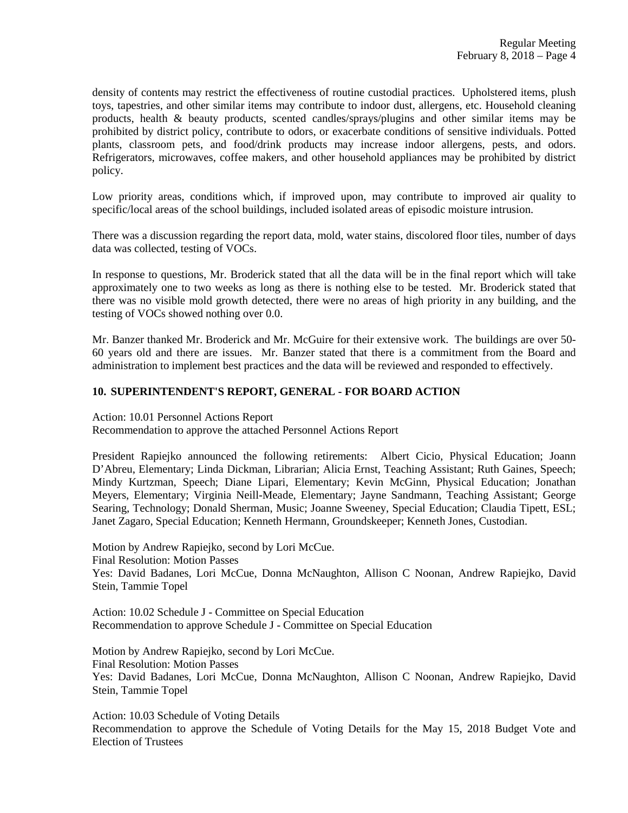density of contents may restrict the effectiveness of routine custodial practices. Upholstered items, plush toys, tapestries, and other similar items may contribute to indoor dust, allergens, etc. Household cleaning products, health & beauty products, scented candles/sprays/plugins and other similar items may be prohibited by district policy, contribute to odors, or exacerbate conditions of sensitive individuals. Potted plants, classroom pets, and food/drink products may increase indoor allergens, pests, and odors. Refrigerators, microwaves, coffee makers, and other household appliances may be prohibited by district policy.

Low priority areas, conditions which, if improved upon, may contribute to improved air quality to specific/local areas of the school buildings, included isolated areas of episodic moisture intrusion.

There was a discussion regarding the report data, mold, water stains, discolored floor tiles, number of days data was collected, testing of VOCs.

In response to questions, Mr. Broderick stated that all the data will be in the final report which will take approximately one to two weeks as long as there is nothing else to be tested. Mr. Broderick stated that there was no visible mold growth detected, there were no areas of high priority in any building, and the testing of VOCs showed nothing over 0.0.

Mr. Banzer thanked Mr. Broderick and Mr. McGuire for their extensive work. The buildings are over 50- 60 years old and there are issues. Mr. Banzer stated that there is a commitment from the Board and administration to implement best practices and the data will be reviewed and responded to effectively.

#### **10. SUPERINTENDENT'S REPORT, GENERAL - FOR BOARD ACTION**

Action: 10.01 Personnel Actions Report Recommendation to approve the attached Personnel Actions Report

President Rapiejko announced the following retirements: Albert Cicio, Physical Education; Joann D'Abreu, Elementary; Linda Dickman, Librarian; Alicia Ernst, Teaching Assistant; Ruth Gaines, Speech; Mindy Kurtzman, Speech; Diane Lipari, Elementary; Kevin McGinn, Physical Education; Jonathan Meyers, Elementary; Virginia Neill-Meade, Elementary; Jayne Sandmann, Teaching Assistant; George Searing, Technology; Donald Sherman, Music; Joanne Sweeney, Special Education; Claudia Tipett, ESL; Janet Zagaro, Special Education; Kenneth Hermann, Groundskeeper; Kenneth Jones, Custodian.

Motion by Andrew Rapiejko, second by Lori McCue. Final Resolution: Motion Passes Yes: David Badanes, Lori McCue, Donna McNaughton, Allison C Noonan, Andrew Rapiejko, David Stein, Tammie Topel

Action: 10.02 Schedule J - Committee on Special Education Recommendation to approve Schedule J - Committee on Special Education

Motion by Andrew Rapiejko, second by Lori McCue. Final Resolution: Motion Passes Yes: David Badanes, Lori McCue, Donna McNaughton, Allison C Noonan, Andrew Rapiejko, David Stein, Tammie Topel

Action: 10.03 Schedule of Voting Details Recommendation to approve the Schedule of Voting Details for the May 15, 2018 Budget Vote and Election of Trustees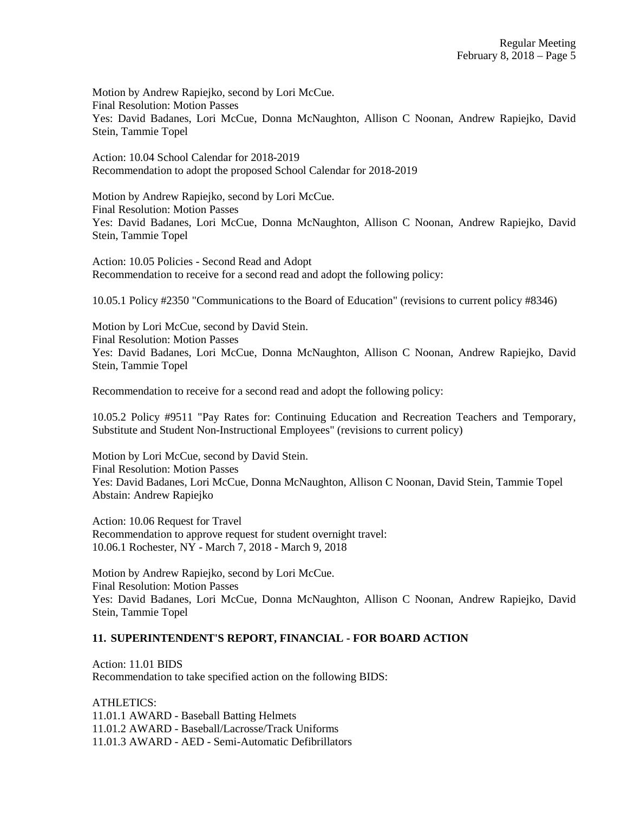Motion by Andrew Rapiejko, second by Lori McCue. Final Resolution: Motion Passes Yes: David Badanes, Lori McCue, Donna McNaughton, Allison C Noonan, Andrew Rapiejko, David Stein, Tammie Topel

Action: 10.04 School Calendar for 2018-2019 Recommendation to adopt the proposed School Calendar for 2018-2019

Motion by Andrew Rapiejko, second by Lori McCue. Final Resolution: Motion Passes Yes: David Badanes, Lori McCue, Donna McNaughton, Allison C Noonan, Andrew Rapiejko, David Stein, Tammie Topel

Action: 10.05 Policies - Second Read and Adopt Recommendation to receive for a second read and adopt the following policy:

10.05.1 Policy #2350 "Communications to the Board of Education" (revisions to current policy #8346)

Motion by Lori McCue, second by David Stein. Final Resolution: Motion Passes Yes: David Badanes, Lori McCue, Donna McNaughton, Allison C Noonan, Andrew Rapiejko, David Stein, Tammie Topel

Recommendation to receive for a second read and adopt the following policy:

10.05.2 Policy #9511 "Pay Rates for: Continuing Education and Recreation Teachers and Temporary, Substitute and Student Non-Instructional Employees" (revisions to current policy)

Motion by Lori McCue, second by David Stein. Final Resolution: Motion Passes Yes: David Badanes, Lori McCue, Donna McNaughton, Allison C Noonan, David Stein, Tammie Topel Abstain: Andrew Rapiejko

Action: 10.06 Request for Travel Recommendation to approve request for student overnight travel: 10.06.1 Rochester, NY - March 7, 2018 - March 9, 2018

Motion by Andrew Rapiejko, second by Lori McCue. Final Resolution: Motion Passes Yes: David Badanes, Lori McCue, Donna McNaughton, Allison C Noonan, Andrew Rapiejko, David Stein, Tammie Topel

# **11. SUPERINTENDENT'S REPORT, FINANCIAL - FOR BOARD ACTION**

Action: 11.01 BIDS Recommendation to take specified action on the following BIDS:

ATHLETICS: 11.01.1 AWARD - Baseball Batting Helmets 11.01.2 AWARD - Baseball/Lacrosse/Track Uniforms 11.01.3 AWARD - AED - Semi-Automatic Defibrillators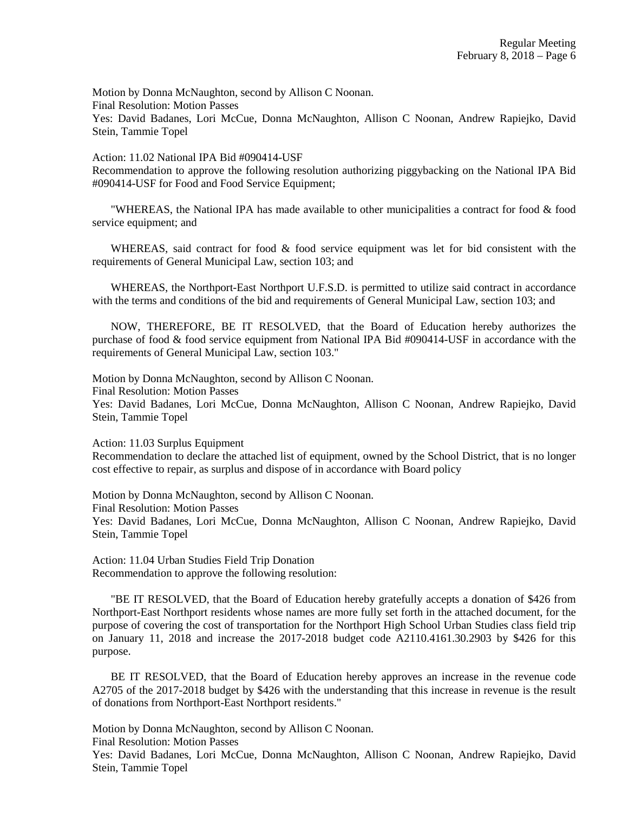Motion by Donna McNaughton, second by Allison C Noonan.

Final Resolution: Motion Passes

Yes: David Badanes, Lori McCue, Donna McNaughton, Allison C Noonan, Andrew Rapiejko, David Stein, Tammie Topel

#### Action: 11.02 National IPA Bid #090414-USF

Recommendation to approve the following resolution authorizing piggybacking on the National IPA Bid #090414-USF for Food and Food Service Equipment;

"WHEREAS, the National IPA has made available to other municipalities a contract for food & food service equipment; and

WHEREAS, said contract for food  $\&$  food service equipment was let for bid consistent with the requirements of General Municipal Law, section 103; and

WHEREAS, the Northport-East Northport U.F.S.D. is permitted to utilize said contract in accordance with the terms and conditions of the bid and requirements of General Municipal Law, section 103; and

NOW, THEREFORE, BE IT RESOLVED, that the Board of Education hereby authorizes the purchase of food  $\&$  food service equipment from National IPA Bid #090414-USF in accordance with the requirements of General Municipal Law, section 103."

Motion by Donna McNaughton, second by Allison C Noonan.

Final Resolution: Motion Passes

Yes: David Badanes, Lori McCue, Donna McNaughton, Allison C Noonan, Andrew Rapiejko, David Stein, Tammie Topel

Action: 11.03 Surplus Equipment

Recommendation to declare the attached list of equipment, owned by the School District, that is no longer cost effective to repair, as surplus and dispose of in accordance with Board policy

Motion by Donna McNaughton, second by Allison C Noonan.

Final Resolution: Motion Passes

Yes: David Badanes, Lori McCue, Donna McNaughton, Allison C Noonan, Andrew Rapiejko, David Stein, Tammie Topel

Action: 11.04 Urban Studies Field Trip Donation Recommendation to approve the following resolution:

"BE IT RESOLVED, that the Board of Education hereby gratefully accepts a donation of \$426 from Northport-East Northport residents whose names are more fully set forth in the attached document, for the purpose of covering the cost of transportation for the Northport High School Urban Studies class field trip on January 11, 2018 and increase the 2017-2018 budget code A2110.4161.30.2903 by \$426 for this purpose.

BE IT RESOLVED, that the Board of Education hereby approves an increase in the revenue code A2705 of the 2017-2018 budget by \$426 with the understanding that this increase in revenue is the result of donations from Northport-East Northport residents."

Motion by Donna McNaughton, second by Allison C Noonan.

Final Resolution: Motion Passes

Yes: David Badanes, Lori McCue, Donna McNaughton, Allison C Noonan, Andrew Rapiejko, David Stein, Tammie Topel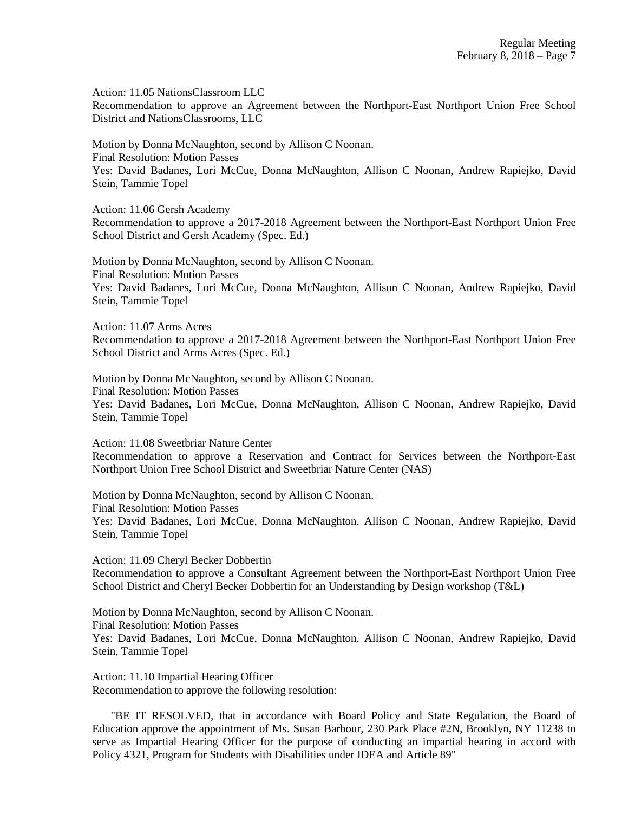Action: 11.05 NationsClassroom LLC

Recommendation to approve an Agreement between the Northport-East Northport Union Free School District and NationsClassrooms, LLC

Motion by Donna McNaughton, second by Allison C Noonan. Final Resolution: Motion Passes Yes: David Badanes, Lori McCue, Donna McNaughton, Allison C Noonan, Andrew Rapiejko, David Stein, Tammie Topel

Action: 11.06 Gersh Academy

Recommendation to approve a 2017-2018 Agreement between the Northport-East Northport Union Free School District and Gersh Academy (Spec. Ed.)

Motion by Donna McNaughton, second by Allison C Noonan. Final Resolution: Motion Passes Yes: David Badanes, Lori McCue, Donna McNaughton, Allison C Noonan, Andrew Rapiejko, David Stein, Tammie Topel

Action: 11.07 Arms Acres

Recommendation to approve a 2017-2018 Agreement between the Northport-East Northport Union Free School District and Arms Acres (Spec. Ed.)

Motion by Donna McNaughton, second by Allison C Noonan. Final Resolution: Motion Passes Yes: David Badanes, Lori McCue, Donna McNaughton, Allison C Noonan, Andrew Rapiejko, David Stein, Tammie Topel

Action: 11.08 Sweetbriar Nature Center

Recommendation to approve a Reservation and Contract for Services between the Northport-East Northport Union Free School District and Sweetbriar Nature Center (NAS)

Motion by Donna McNaughton, second by Allison C Noonan. Final Resolution: Motion Passes Yes: David Badanes, Lori McCue, Donna McNaughton, Allison C Noonan, Andrew Rapiejko, David Stein, Tammie Topel

Action: 11.09 Cheryl Becker Dobbertin Recommendation to approve a Consultant Agreement between the Northport-East Northport Union Free School District and Cheryl Becker Dobbertin for an Understanding by Design workshop (T&L)

Motion by Donna McNaughton, second by Allison C Noonan. Final Resolution: Motion Passes Yes: David Badanes, Lori McCue, Donna McNaughton, Allison C Noonan, Andrew Rapiejko, David Stein, Tammie Topel

Action: 11.10 Impartial Hearing Officer Recommendation to approve the following resolution:

"BE IT RESOLVED, that in accordance with Board Policy and State Regulation, the Board of Education approve the appointment of Ms. Susan Barbour, 230 Park Place #2N, Brooklyn, NY 11238 to serve as Impartial Hearing Officer for the purpose of conducting an impartial hearing in accord with Policy 4321, Program for Students with Disabilities under IDEA and Article 89"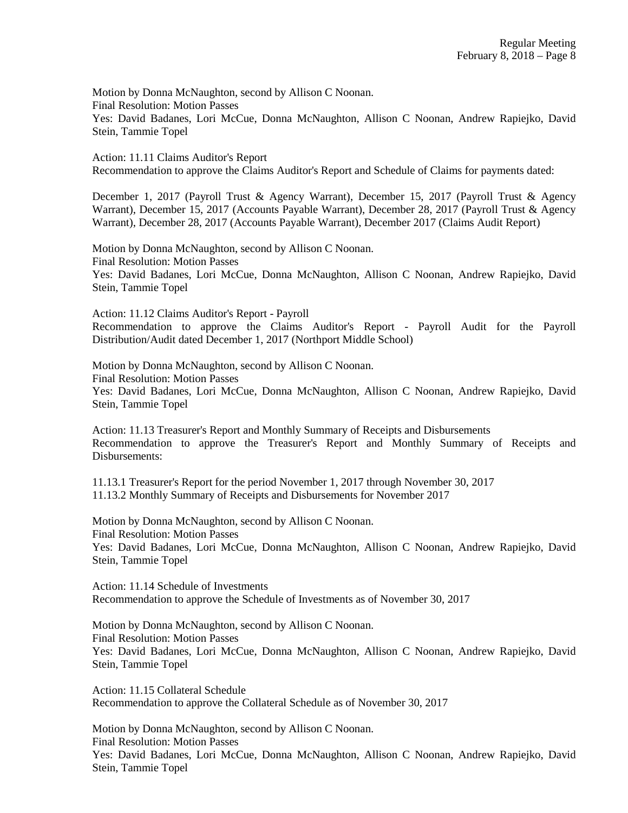Motion by Donna McNaughton, second by Allison C Noonan. Final Resolution: Motion Passes Yes: David Badanes, Lori McCue, Donna McNaughton, Allison C Noonan, Andrew Rapiejko, David Stein, Tammie Topel

Action: 11.11 Claims Auditor's Report Recommendation to approve the Claims Auditor's Report and Schedule of Claims for payments dated:

December 1, 2017 (Payroll Trust & Agency Warrant), December 15, 2017 (Payroll Trust & Agency Warrant), December 15, 2017 (Accounts Payable Warrant), December 28, 2017 (Payroll Trust & Agency Warrant), December 28, 2017 (Accounts Payable Warrant), December 2017 (Claims Audit Report)

Motion by Donna McNaughton, second by Allison C Noonan. Final Resolution: Motion Passes Yes: David Badanes, Lori McCue, Donna McNaughton, Allison C Noonan, Andrew Rapiejko, David Stein, Tammie Topel

Action: 11.12 Claims Auditor's Report - Payroll Recommendation to approve the Claims Auditor's Report - Payroll Audit for the Payroll Distribution/Audit dated December 1, 2017 (Northport Middle School)

Motion by Donna McNaughton, second by Allison C Noonan. Final Resolution: Motion Passes Yes: David Badanes, Lori McCue, Donna McNaughton, Allison C Noonan, Andrew Rapiejko, David Stein, Tammie Topel

Action: 11.13 Treasurer's Report and Monthly Summary of Receipts and Disbursements Recommendation to approve the Treasurer's Report and Monthly Summary of Receipts and Disbursements<sup>.</sup>

11.13.1 Treasurer's Report for the period November 1, 2017 through November 30, 2017 11.13.2 Monthly Summary of Receipts and Disbursements for November 2017

Motion by Donna McNaughton, second by Allison C Noonan. Final Resolution: Motion Passes Yes: David Badanes, Lori McCue, Donna McNaughton, Allison C Noonan, Andrew Rapiejko, David Stein, Tammie Topel

Action: 11.14 Schedule of Investments Recommendation to approve the Schedule of Investments as of November 30, 2017

Motion by Donna McNaughton, second by Allison C Noonan. Final Resolution: Motion Passes Yes: David Badanes, Lori McCue, Donna McNaughton, Allison C Noonan, Andrew Rapiejko, David Stein, Tammie Topel

Action: 11.15 Collateral Schedule Recommendation to approve the Collateral Schedule as of November 30, 2017

Motion by Donna McNaughton, second by Allison C Noonan. Final Resolution: Motion Passes Yes: David Badanes, Lori McCue, Donna McNaughton, Allison C Noonan, Andrew Rapiejko, David Stein, Tammie Topel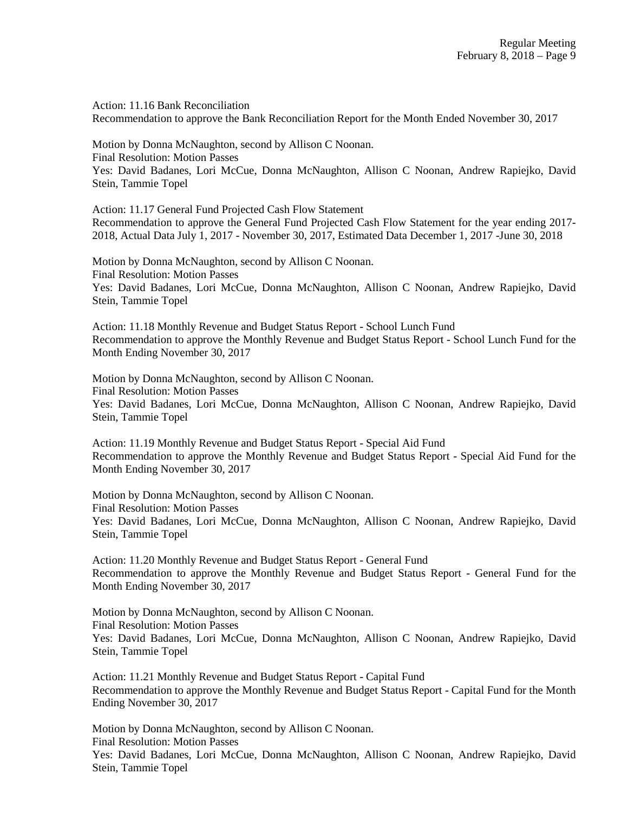Action: 11.16 Bank Reconciliation Recommendation to approve the Bank Reconciliation Report for the Month Ended November 30, 2017

Motion by Donna McNaughton, second by Allison C Noonan.

Final Resolution: Motion Passes

Yes: David Badanes, Lori McCue, Donna McNaughton, Allison C Noonan, Andrew Rapiejko, David Stein, Tammie Topel

Action: 11.17 General Fund Projected Cash Flow Statement Recommendation to approve the General Fund Projected Cash Flow Statement for the year ending 2017- 2018, Actual Data July 1, 2017 - November 30, 2017, Estimated Data December 1, 2017 -June 30, 2018

Motion by Donna McNaughton, second by Allison C Noonan. Final Resolution: Motion Passes Yes: David Badanes, Lori McCue, Donna McNaughton, Allison C Noonan, Andrew Rapiejko, David Stein, Tammie Topel

Action: 11.18 Monthly Revenue and Budget Status Report - School Lunch Fund Recommendation to approve the Monthly Revenue and Budget Status Report - School Lunch Fund for the Month Ending November 30, 2017

Motion by Donna McNaughton, second by Allison C Noonan. Final Resolution: Motion Passes Yes: David Badanes, Lori McCue, Donna McNaughton, Allison C Noonan, Andrew Rapiejko, David Stein, Tammie Topel

Action: 11.19 Monthly Revenue and Budget Status Report - Special Aid Fund Recommendation to approve the Monthly Revenue and Budget Status Report - Special Aid Fund for the Month Ending November 30, 2017

Motion by Donna McNaughton, second by Allison C Noonan. Final Resolution: Motion Passes Yes: David Badanes, Lori McCue, Donna McNaughton, Allison C Noonan, Andrew Rapiejko, David Stein, Tammie Topel

Action: 11.20 Monthly Revenue and Budget Status Report - General Fund Recommendation to approve the Monthly Revenue and Budget Status Report - General Fund for the Month Ending November 30, 2017

Motion by Donna McNaughton, second by Allison C Noonan. Final Resolution: Motion Passes Yes: David Badanes, Lori McCue, Donna McNaughton, Allison C Noonan, Andrew Rapiejko, David Stein, Tammie Topel

Action: 11.21 Monthly Revenue and Budget Status Report - Capital Fund Recommendation to approve the Monthly Revenue and Budget Status Report - Capital Fund for the Month Ending November 30, 2017

Motion by Donna McNaughton, second by Allison C Noonan. Final Resolution: Motion Passes Yes: David Badanes, Lori McCue, Donna McNaughton, Allison C Noonan, Andrew Rapiejko, David Stein, Tammie Topel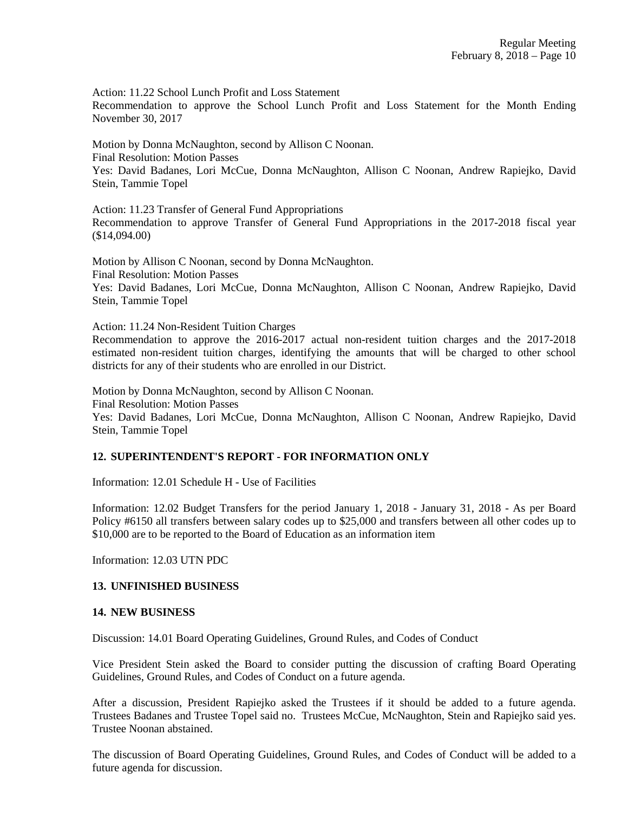Action: 11.22 School Lunch Profit and Loss Statement

Recommendation to approve the School Lunch Profit and Loss Statement for the Month Ending November 30, 2017

Motion by Donna McNaughton, second by Allison C Noonan. Final Resolution: Motion Passes Yes: David Badanes, Lori McCue, Donna McNaughton, Allison C Noonan, Andrew Rapiejko, David

Stein, Tammie Topel

Action: 11.23 Transfer of General Fund Appropriations Recommendation to approve Transfer of General Fund Appropriations in the 2017-2018 fiscal year (\$14,094.00)

Motion by Allison C Noonan, second by Donna McNaughton. Final Resolution: Motion Passes Yes: David Badanes, Lori McCue, Donna McNaughton, Allison C Noonan, Andrew Rapiejko, David Stein, Tammie Topel

Action: 11.24 Non-Resident Tuition Charges

Recommendation to approve the 2016-2017 actual non-resident tuition charges and the 2017-2018 estimated non-resident tuition charges, identifying the amounts that will be charged to other school districts for any of their students who are enrolled in our District.

Motion by Donna McNaughton, second by Allison C Noonan. Final Resolution: Motion Passes Yes: David Badanes, Lori McCue, Donna McNaughton, Allison C Noonan, Andrew Rapiejko, David Stein, Tammie Topel

# **12. SUPERINTENDENT'S REPORT - FOR INFORMATION ONLY**

Information: 12.01 Schedule H - Use of Facilities

Information: 12.02 Budget Transfers for the period January 1, 2018 - January 31, 2018 - As per Board Policy #6150 all transfers between salary codes up to \$25,000 and transfers between all other codes up to \$10,000 are to be reported to the Board of Education as an information item

Information: 12.03 UTN PDC

# **13. UNFINISHED BUSINESS**

#### **14. NEW BUSINESS**

Discussion: 14.01 Board Operating Guidelines, Ground Rules, and Codes of Conduct

Vice President Stein asked the Board to consider putting the discussion of crafting Board Operating Guidelines, Ground Rules, and Codes of Conduct on a future agenda.

After a discussion, President Rapiejko asked the Trustees if it should be added to a future agenda. Trustees Badanes and Trustee Topel said no. Trustees McCue, McNaughton, Stein and Rapiejko said yes. Trustee Noonan abstained.

The discussion of Board Operating Guidelines, Ground Rules, and Codes of Conduct will be added to a future agenda for discussion.